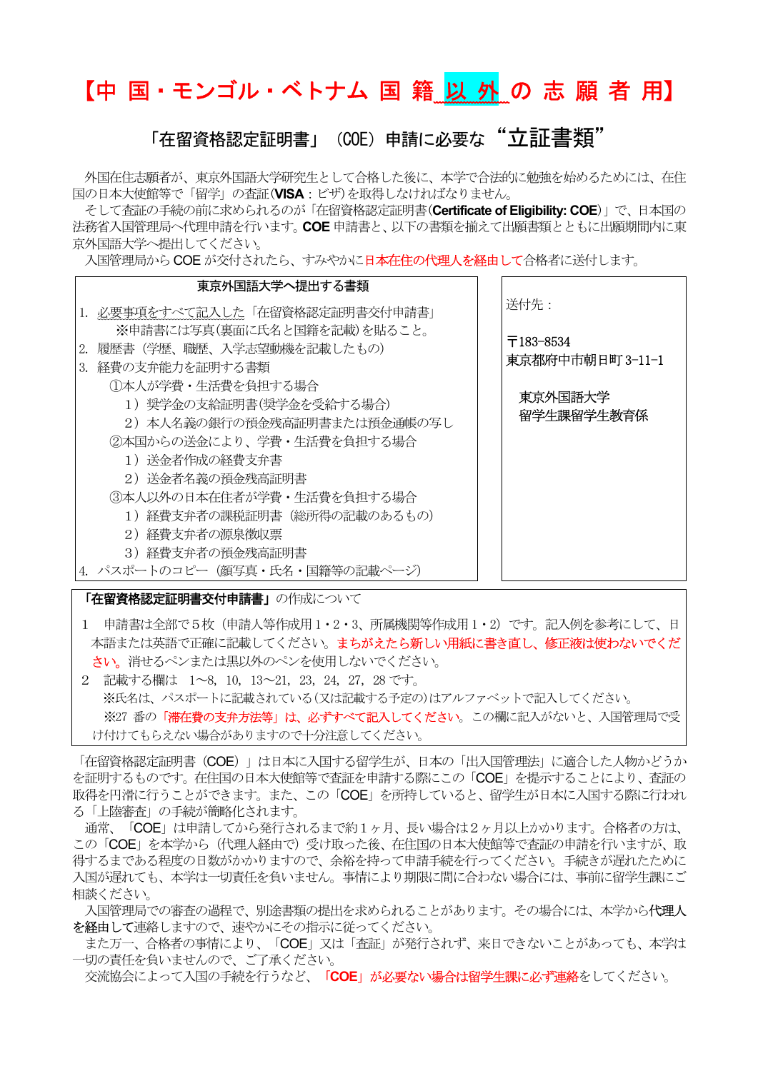# 【中 国・モンゴル・ベトナム 国 籍 以 外 の 志 願 者 用】

### 「在留資格認定証明書」 (COE) 申請に必要な "立証書類"

外国在住志願者が、東京外国語大学研究生として合格した後に、本学で合法的に勉強を始めるためには、在住 国の日本大使館等で「留学」の査証(VISA:ビザ)を取得しなければなりません。

そして査証の手続の前に求められるのが「在留資格認定証明書(Certificate of Eligibility: COE)」で、日本国の 法務省入国管理局へ代理申請を行います。COE 申請書と、以下の書類を揃えて出願書類とともに出願期間内に東 京外国語大学へ提出してください。

入国管理局から COE が交付されたら、すみやかに日本在住の代理人を経由して合格者に送付します。

| 東京外国語大学へ提出する書類                                                                                                                               |                       |                  |
|----------------------------------------------------------------------------------------------------------------------------------------------|-----------------------|------------------|
| 1.必要事項をすべて記入した「在留資格認定証明書交付申請書」                                                                                                               | 送付先 :                 |                  |
| ※申請書には写真(裏面に氏名と国籍を記載)を貼ること。<br>2. 履歴書 (学歴、職歴、入学志望動機を記載したもの)                                                                                  | 〒183-8534             |                  |
| 3. 経費の支弁能力を証明する書類                                                                                                                            |                       | 東京都府中市朝日町 3-11-1 |
| ①本人が学費・生活費を負担する場合<br>1)奨学金の支給証明書(奨学金を受給する場合)<br>2)本人名義の銀行の預金残高証明書または預金通帳の写し<br>②本国からの送金により、学費・生活費を負担する場合<br>1)送金者作成の経費支弁書<br>2)送金者名義の預金残高証明書 | 東京外国語大学<br>留学生課留学生教育係 |                  |
| ③本人以外の日本在住者が学費・生活費を負担する場合<br>1) 経費支弁者の課税証明書(総所得の記載のあるもの)<br>2)経費支弁者の源泉徴収票<br>3)経費支弁者の預金残高証明書<br>パスポートのコピー (顔写真・氏名・国籍等の記載ページ)                 |                       |                  |

「在留資格認定証明書交付申請書」の作成について

- 1 申請書は全部で5枚(申請人等作成用 1・2・3、所属機関等作成用 1・2)です。記入例を参考にして、日 本語または英語で正確に記載してください。まちがえたら新しい用紙に書き直し、修正液は使わないでくだ さい。消せるペンまたは黒以外のペンを使用しないでください。
- 2 記載する欄は 1~8, 10, 13~21, 23,24, 27, 28 です。 ※氏名は、パスポートに記載されている(又は記載する予定の)はアルファベットで記入してください。 ※27 番の「滞在費の支弁方法等」は、必ずすべて記入してください。この欄に記入がないと、入国管理局で受 け付けてもらえない場合がありますので十分注意してください。

「在留資格認定証明書 (COE)」は日本に入国する留学生が、日本の「出入国管理法」に適合した人物かどうか を証明するものです。在住国の日本大使館等で査証を申請する際にこの「COE」を提示することにより、査証の 取得を円滑に行うことができます。また、この「COE」を所持していると、留学生が日本に入国する際に行われ る「上陸審査」の手続が簡略化されます。

 通常、「COE」は申請してから発行されるまで約1ヶ月、長い場合は2ヶ月以上かかります。合格者の方は、 この「COE」を本学から(代理人経由で)受け取った後、在住国の日本大使館等で査証の申請を行いますが、取 得するまである程度の日数がかかりますので、余裕を持って申請手続を行ってください。手続きが遅れたために 入国が遅れても、本学は一切責任を負いません。事情により期限に間に合わない場合には、事前に留学生課にご 相談ください。

 入国管理局での審査の過程で、別途書類の提出を求められることがあります。その場合には、本学から代理人 わ経由して連絡しますので、速やかにその指示に従ってください。

 また万一、合格者の事情により、「COE」又は「査証」が発行されず、来日できないことがあっても、本学は 一切の責任を負いませんので、ご了承ください。

交流協会によって入国の手続を行うなど、「COE」が必要ない場合は留学生課に必ず連絡をしてください。